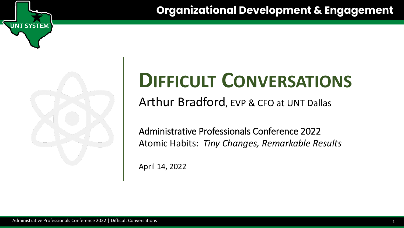

**NT SYSTEM** 

# **DIFFICULT CONVERSATIONS**

Arthur Bradford, EVP & CFO at UNT Dallas

Administrative Professionals Conference 2022 Atomic Habits: *Tiny Changes, Remarkable Results*

April 14, 2022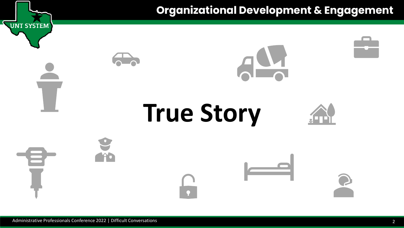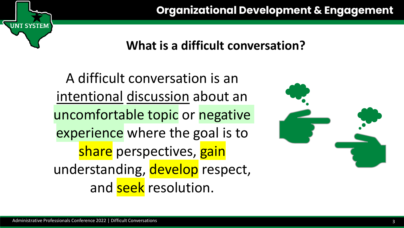## **What is a difficult conversation?**

A difficult conversation is an intentional discussion about an uncomfortable topic or negative experience where the goal is to share perspectives, gain understanding, develop respect, and seek resolution.



**T SYSTEM**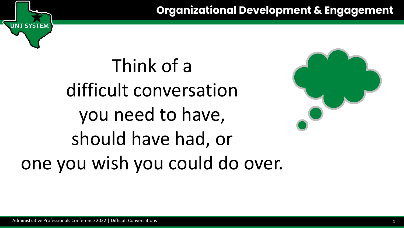# Think of a difficult conversation you need to have, should have had, or one you wish you could do over.



**T SYSTEM**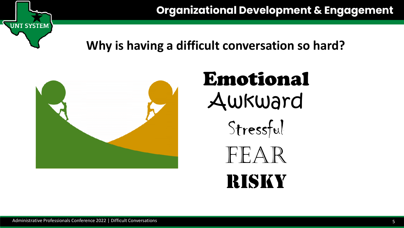

## **Why is having a difficult conversation so hard?**



# Emotional Awkward



 $FAR$ 

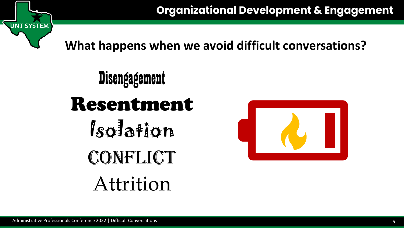

**What happens when we avoid difficult conversations?**

**Disengagement** Resentment Isolation CONFLICT Attrition

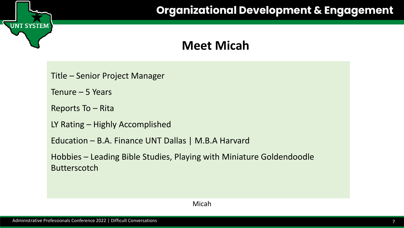#### **Meet Micah**

Title – Senior Project Manager

Tenure – 5 Years

UNT SYSTEM

Reports To – Rita

LY Rating – Highly Accomplished

Education – B.A. Finance UNT Dallas | M.B.A Harvard

Hobbies – Leading Bible Studies, Playing with Miniature Goldendoodle Butterscotch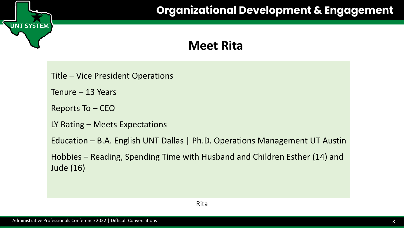#### **Meet Rita**

Title – Vice President Operations

Tenure – 13 Years

**UNT SYSTEM** 

Reports To – CEO

LY Rating – Meets Expectations

Education – B.A. English UNT Dallas | Ph.D. Operations Management UT Austin

Hobbies – Reading, Spending Time with Husband and Children Esther (14) and Jude (16)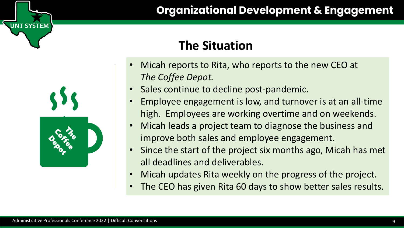## **The Situation**

- Micah reports to Rita, who reports to the new CEO at *The Coffee Depot.*
- Sales continue to decline post-pandemic.
- Employee engagement is low, and turnover is at an all-time high. Employees are working overtime and on weekends.
- Micah leads a project team to diagnose the business and improve both sales and employee engagement.
- Since the start of the project six months ago, Micah has met all deadlines and deliverables.
- Micah updates Rita weekly on the progress of the project.
- The CEO has given Rita 60 days to show better sales results.

**SYSTEM**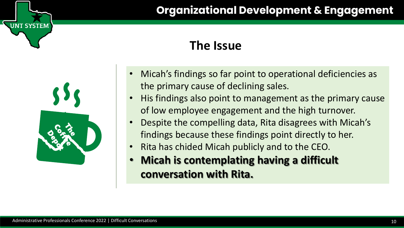#### **The Issue**

- Micah's findings so far point to operational deficiencies as the primary cause of declining sales.
- His findings also point to management as the primary cause of low employee engagement and the high turnover.
- Despite the compelling data, Rita disagrees with Micah's findings because these findings point directly to her.
- Rita has chided Micah publicly and to the CEO.
- **Micah is contemplating having a difficult conversation with Rita.**

**T SYSTEM**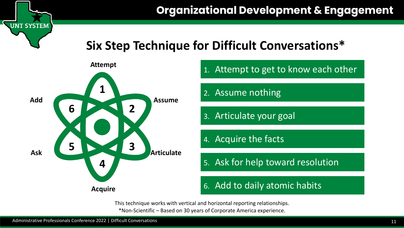## **Six Step Technique for Difficult Conversations\***



This technique works with vertical and horizontal reporting relationships. \*Non-Scientific – Based on 30 years of Corporate America experience.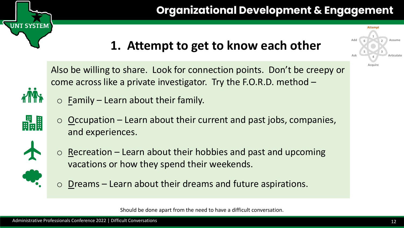# **1. Attempt to get to know each other**

Also be willing to share. Look for connection points. Don't be creepy or come across like a private investigator. Try the F.O.R.D. method –

- $\circ$  Eamily Learn about their family.
- dall

**T SYSTEM** 

 $\circ$  Occupation – Learn about their current and past jobs, companies, and experiences.



 $\circ$  Recreation – Learn about their hobbies and past and upcoming vacations or how they spend their weekends.



o Dreams – Learn about their dreams and future aspirations.

Should be done apart from the need to have a difficult conversation.

**1**

**Attempt**

**6**

**Add**

**Ask**

**5**

**4**

**Acquire**

**2**

**Assume**

**Articulate**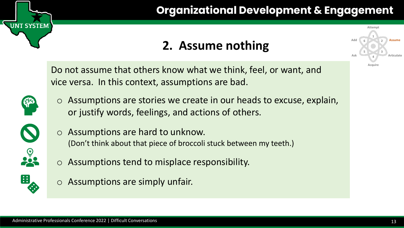# **2. Assume nothing**

Do not assume that others know what we think, feel, or want, and vice versa. In this context, assumptions are bad.



**NT SYSTEM** 

o Assumptions are stories we create in our heads to excuse, explain, or justify words, feelings, and actions of others.



- o Assumptions are hard to unknow. (Don't think about that piece of broccoli stuck between my teeth.)
- o Assumptions tend to misplace responsibility.



o Assumptions are simply unfair.

**1**

**Attempt**

**6**

**Add**

**Ask**

**5**

**4**

**Acquire**

**2**

**Assume**

**Articulate**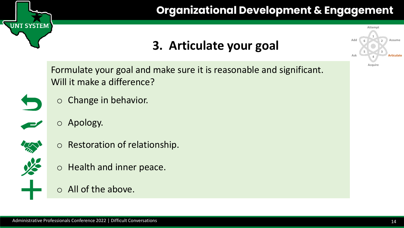

## **3. Articulate your goal**

Formulate your goal and make sure it is reasonable and significant. Will it make a difference?



UNT SYSTEM

o Change in behavior.



o Apology.



- o Restoration of relationship.
- o Health and inner peace.
- o All of the above.

**1**

**Attemp** 

**6**

**Add**

**Ask**

**5**

**4**

**Acquire**

**2**

**Assume**

**Articulate**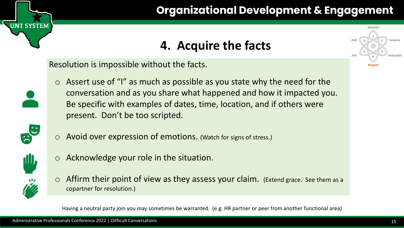# **4. Acquire the facts**

Resolution is impossible without the facts.

**NT SYSTEM** 

 $\circ$  Assert use of "I" as much as possible as you state why the need for the conversation and as you share what happened and how it impacted you. Be specific with examples of dates, time, location, and if others were present. Don't be too scripted.



o Avoid over expression of emotions. (Watch for signs of stress.)



Acknowledge your role in the situation.



 $\circ$  Affirm their point of view as they assess your claim. (Extend grace. See them as a copartner for resolution.)

Having a neutral party join you may sometimes be warranted. (e.g. HR partner or peer from another functional area)

**1**

Attem

**6**

**Add**

**Ask**

**5**

**4**

**Acquire**

**2**

**Assume**

**Articulate**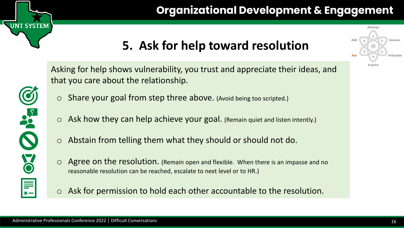# **5. Ask for help toward resolution**



**JNT SYSTEM** 

Asking for help shows vulnerability, you trust and appreciate their ideas, and that you care about the relationship.

- o Share your goal from step three above. (Avoid being too scripted.)
- o Ask how they can help achieve your goal. (Remain quiet and listen intently.)
- o Abstain from telling them what they should or should not do.
- o Agree on the resolution. (Remain open and flexible. When there is an impasse and no reasonable resolution can be reached, escalate to next level or to HR.)
- o Ask for permission to hold each other accountable to the resolution.

**1**

**Attempt**

**6**

**Add**

**Ask**

**5**

**4**

**Acquire**

**2**

**Assume**

**Articulate**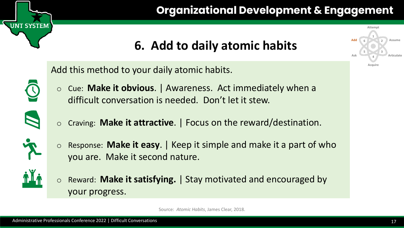# **6. Add to daily atomic habits**

Add this method to your daily atomic habits.

- o Cue: **Make it obvious**. | Awareness. Act immediately when a difficult conversation is needed. Don't let it stew.
- 

**NT SYSTEM** 

- o Craving: **Make it attractive**. | Focus on the reward/destination.
- o Response: **Make it easy**. | Keep it simple and make it a part of who you are. Make it second nature.



o Reward: **Make it satisfying.** | Stay motivated and encouraged by your progress.

Source: *Atomic Habits*, James Clear, 2018.

**1**

**Attempt**

**6**

**Add**

**Ask**

**5**

**4**

**Acquire**

**2**

**Assume**

**Articulate**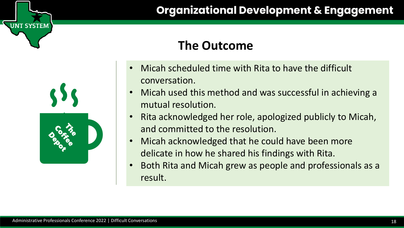### **The Outcome**

- Micah scheduled time with Rita to have the difficult conversation.
- Micah used this method and was successful in achieving a mutual resolution.
- Rita acknowledged her role, apologized publicly to Micah, and committed to the resolution.
- Micah acknowledged that he could have been more delicate in how he shared his findings with Rita.
- Both Rita and Micah grew as people and professionals as a result.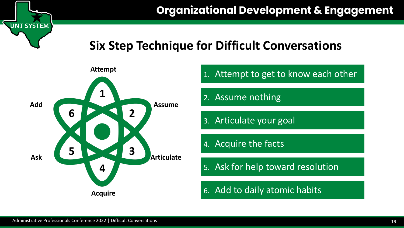#### **Six Step Technique for Difficult Conversations**

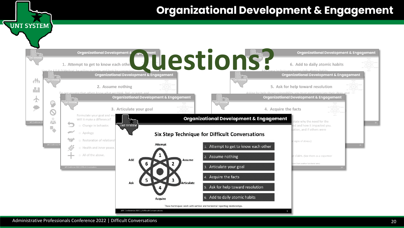